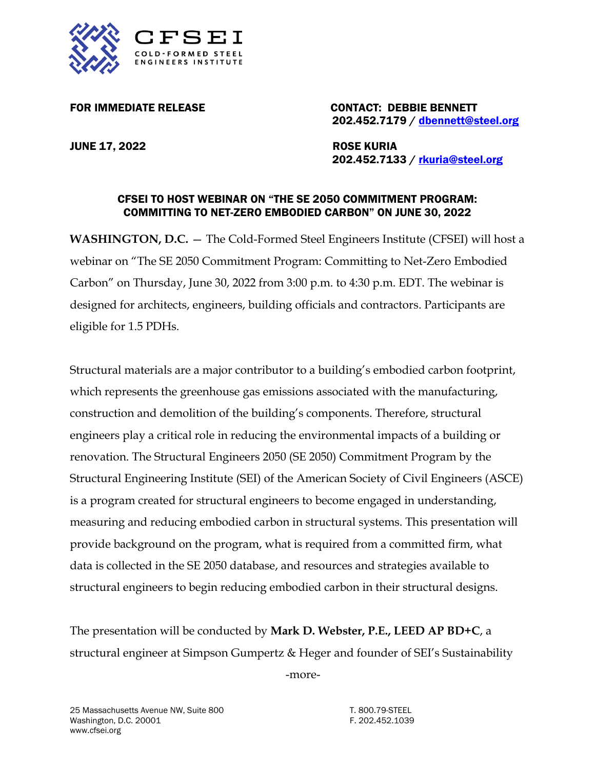

FOR IMMEDIATE RELEASE CONTACT: DEBBIE BENNETT 202.452.7179 / [dbennett@steel.org](mailto:dbennett@steel.org)

JUNE 17, 2022 ROSE KURIA

202.452.7133 / [rkuria@steel.org](mailto:rkuria@steel.org)

## CFSEI TO HOST WEBINAR ON "THE SE 2050 COMMITMENT PROGRAM: COMMITTING TO NET-ZERO EMBODIED CARBON" ON JUNE 30, 2022

**WASHINGTON, D.C.** — The Cold-Formed Steel Engineers Institute (CFSEI) will host a webinar on "The SE 2050 Commitment Program: Committing to Net-Zero Embodied Carbon" on Thursday, June 30, 2022 from 3:00 p.m. to 4:30 p.m. EDT. The webinar is designed for architects, engineers, building officials and contractors. Participants are eligible for 1.5 PDHs.

Structural materials are a major contributor to a building's embodied carbon footprint, which represents the greenhouse gas emissions associated with the manufacturing, construction and demolition of the building's components. Therefore, structural engineers play a critical role in reducing the environmental impacts of a building or renovation. The Structural Engineers 2050 (SE 2050) Commitment Program by the Structural Engineering Institute (SEI) of the American Society of Civil Engineers (ASCE) is a program created for structural engineers to become engaged in understanding, measuring and reducing embodied carbon in structural systems. This presentation will provide background on the program, what is required from a committed firm, what data is collected in the SE 2050 database, and resources and strategies available to structural engineers to begin reducing embodied carbon in their structural designs.

The presentation will be conducted by **Mark D. Webster, P.E., LEED AP BD+C**, a structural engineer at Simpson Gumpertz & Heger and founder of SEI's Sustainability

-more-